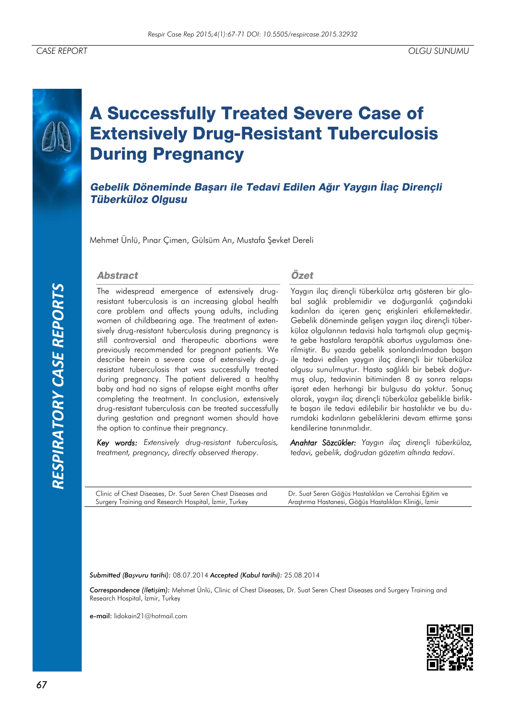# **A Successfully Treated Severe Case of Extensively Drug-Resistant Tuberculosis During Pregnancy**

Gebelik Döneminde Başarı ile Tedavi Edilen Ağır Yaygın İlaç Dirençli **Tüberküloz Olgusu** 

Mehmet Ünlü, Pınar Çimen, Gülsüm Arı, Mustafa Şevket Dereli

#### **Abstract**

The widespread emergence of extensively drugresistant tuberculosis is an increasing global health care problem and affects young adults, including women of childbearing age. The treatment of extensively drug-resistant tuberculosis during pregnancy is still controversial and therapeutic abortions were previously recommended for pregnant patients. We describe herein a severe case of extensively drugresistant tuberculosis that was successfully treated during pregnancy. The patient delivered a healthy baby and had no signs of relapse eight months after completing the treatment. In conclusion, extensively drug-resistant tuberculosis can be treated successfully during gestation and pregnant women should have the option to continue their pregnancy.

*Key words: Extensively drug-resistant tuberculosis, treatment, pregnancy, directly observed therapy.*

Özet

Yaygın ilaç dirençli tüberküloz artış gösteren bir global sağlık problemidir ve doğurganlık çağındaki kadınları da içeren genç erişkinleri etkilemektedir. Gebelik döneminde gelişen yaygın ilaç dirençli tüberküloz olgularının tedavisi hala tartışmalı olup geçmişte gebe hastalara terapötik abortus uygulaması önerilmiştir. Bu yazıda gebelik sonlandırılmadan başarı ile tedavi edilen yaygın ilaç dirençli bir tüberküloz olgusu sunulmuştur. Hasta sağlıklı bir bebek doğurmuş olup, tedavinin bitiminden 8 ay sonra relapsı işaret eden herhangi bir bulgusu da yoktur. Sonuç olarak, yaygın ilaç dirençli tüberküloz gebelikle birlikte başarı ile tedavi edilebilir bir hastalıktır ve bu durumdaki kadınların gebeliklerini devam ettirme şansı kendilerine tanınmalıdır.

*Anahtar Sözcükler: Yaygın ilaç dirençli tüberküloz, tedavi, gebelik, doğrudan gözetim altında tedavi.* 

Clinic of Chest Diseases, Dr. Suat Seren Chest Diseases and Surgery Training and Research Hospital, İzmir, Turkey

Dr. Suat Seren Göğüs Hastalıkları ve Cerrahisi Eğitim ve Araştırma Hastanesi, Göğüs Hastalıkları Kliniği, İzmir

*Submitted (Başvuru tarihi):* 08.07.2014 *Accepted (Kabul tarihi):* 25.08.2014

*Correspondence (İletişim):* Mehmet Ünlü, Clinic of Chest Diseases, Dr. Suat Seren Chest Diseases and Surgery Training and Research Hospital, İzmir, Turkey

e-mail: lidokain21@hotmail.com

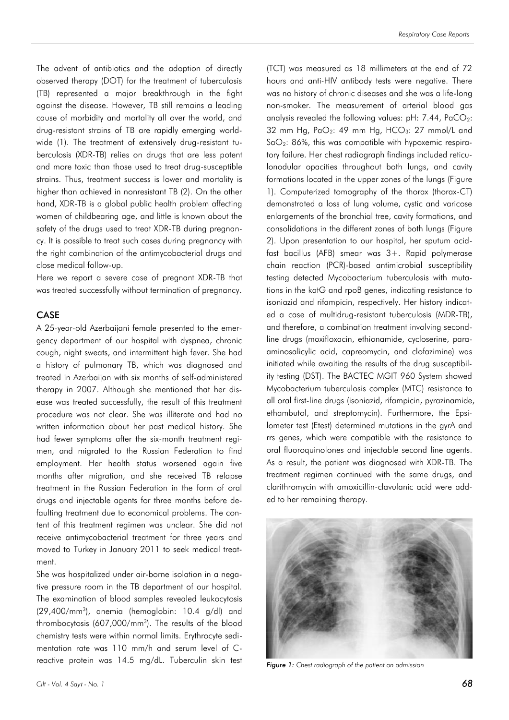The advent of antibiotics and the adoption of directly observed therapy (DOT) for the treatment of tuberculosis (TB) represented a major breakthrough in the fight against the disease. However, TB still remains a leading cause of morbidity and mortality all over the world, and drug-resistant strains of TB are rapidly emerging worldwide (1). The treatment of extensively drug-resistant tuberculosis (XDR-TB) relies on drugs that are less potent and more toxic than those used to treat drug-susceptible strains. Thus, treatment success is lower and mortality is higher than achieved in nonresistant TB (2). On the other hand, XDR-TB is a global public health problem affecting women of childbearing age, and little is known about the safety of the drugs used to treat XDR-TB during pregnancy. It is possible to treat such cases during pregnancy with the right combination of the antimycobacterial drugs and close medical follow-up.

Here we report a severe case of pregnant XDR-TB that was treated successfully without termination of pregnancy.

### CASE

A 25-year-old Azerbaijani female presented to the emergency department of our hospital with dyspnea, chronic cough, night sweats, and intermittent high fever. She had a history of pulmonary TB, which was diagnosed and treated in Azerbaijan with six months of self-administered therapy in 2007. Although she mentioned that her disease was treated successfully, the result of this treatment procedure was not clear. She was illiterate and had no written information about her past medical history. She had fewer symptoms after the six-month treatment regimen, and migrated to the Russian Federation to find employment. Her health status worsened again five months after migration, and she received TB relapse treatment in the Russian Federation in the form of oral drugs and injectable agents for three months before defaulting treatment due to economical problems. The content of this treatment regimen was unclear. She did not receive antimycobacterial treatment for three years and moved to Turkey in January 2011 to seek medical treatment.

She was hospitalized under air-borne isolation in a negative pressure room in the TB department of our hospital. The examination of blood samples revealed leukocytosis (29,400/mm<sup>3</sup> ), anemia (hemoglobin: 10.4 g/dl) and thrombocytosis (607,000/mm<sup>3</sup> ). The results of the blood chemistry tests were within normal limits. Erythrocyte sedimentation rate was 110 mm/h and serum level of Creactive protein was 14.5 mg/dL. Tuberculin skin test

(TCT) was measured as 18 millimeters at the end of 72 hours and anti-HIV antibody tests were negative. There was no history of chronic diseases and she was a life-long non-smoker. The measurement of arterial blood gas analysis revealed the following values:  $pH: 7.44$ ,  $PaCO<sub>2</sub>:$ 32 mm Hg,  $PaO<sub>2</sub>$ : 49 mm Hg,  $HCO<sub>3</sub>$ : 27 mmol/L and  $SaO<sub>2</sub>$ : 86%, this was compatible with hypoxemic respiratory failure. Her chest radiograph findings included reticulonodular opacities throughout both lungs, and cavity formations located in the upper zones of the lungs (Figure 1). Computerized tomography of the thorax (thorax-CT) demonstrated a loss of lung volume, cystic and varicose enlargements of the bronchial tree, cavity formations, and consolidations in the different zones of both lungs (Figure 2). Upon presentation to our hospital, her sputum acidfast bacillus (AFB) smear was 3+. Rapid polymerase chain reaction (PCR)-based antimicrobial susceptibility testing detected Mycobacterium tuberculosis with mutations in the katG and rpoB genes, indicating resistance to isoniazid and rifampicin, respectively. Her history indicated a case of multidrug-resistant tuberculosis (MDR-TB), and therefore, a combination treatment involving secondline drugs (moxifloxacin, ethionamide, cycloserine, paraaminosalicylic acid, capreomycin, and clofazimine) was initiated while awaiting the results of the drug susceptibility testing (DST). The BACTEC MGIT 960 System showed Mycobacterium tuberculosis complex (MTC) resistance to all oral first-line drugs (isoniazid, rifampicin, pyrazinamide, ethambutol, and streptomycin). Furthermore, the Epsilometer test (Etest) determined mutations in the gyrA and rrs genes, which were compatible with the resistance to oral fluoroquinolones and injectable second line agents. As a result, the patient was diagnosed with XDR-TB. The treatment regimen continued with the same drugs, and clarithromycin with amoxicillin-clavulanic acid were added to her remaining therapy.



*Figure 1: Chest radiograph of the patient on admission*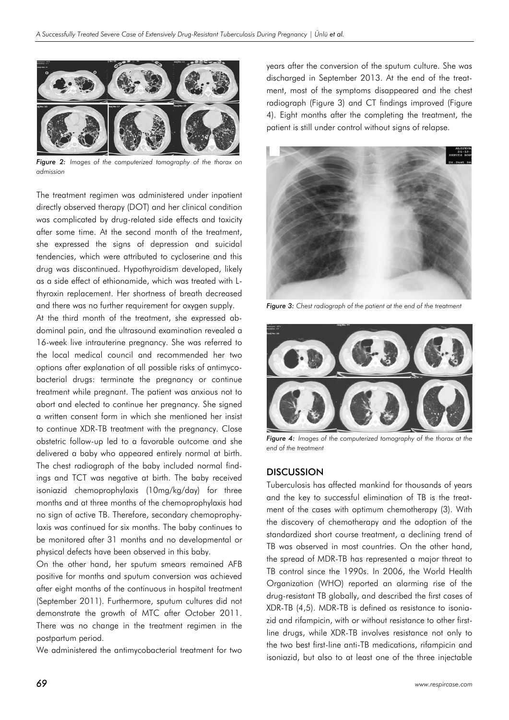

*Figure 2: Images of the computerized tomography of the thorax on admission*

The treatment regimen was administered under inpatient directly observed therapy (DOT) and her clinical condition was complicated by drug-related side effects and toxicity after some time. At the second month of the treatment, she expressed the signs of depression and suicidal tendencies, which were attributed to cycloserine and this drug was discontinued. Hypothyroidism developed, likely as a side effect of ethionamide, which was treated with Lthyroxin replacement. Her shortness of breath decreased and there was no further requirement for oxygen supply.

At the third month of the treatment, she expressed abdominal pain, and the ultrasound examination revealed a 16-week live intrauterine pregnancy. She was referred to the local medical council and recommended her two options after explanation of all possible risks of antimycobacterial drugs: terminate the pregnancy or continue treatment while pregnant. The patient was anxious not to abort and elected to continue her pregnancy. She signed a written consent form in which she mentioned her insist to continue XDR-TB treatment with the pregnancy. Close obstetric follow-up led to a favorable outcome and she delivered a baby who appeared entirely normal at birth. The chest radiograph of the baby included normal findings and TCT was negative at birth. The baby received isoniazid chemoprophylaxis (10mg/kg/day) for three months and at three months of the chemoprophylaxis had no sign of active TB. Therefore, secondary chemoprophylaxis was continued for six months. The baby continues to be monitored after 31 months and no developmental or physical defects have been observed in this baby.

On the other hand, her sputum smears remained AFB positive for months and sputum conversion was achieved after eight months of the continuous in hospital treatment (September 2011). Furthermore, sputum cultures did not demonstrate the growth of MTC after October 2011. There was no change in the treatment regimen in the postpartum period.

We administered the antimycobacterial treatment for two

years after the conversion of the sputum culture. She was discharged in September 2013. At the end of the treatment, most of the symptoms disappeared and the chest radiograph (Figure 3) and CT findings improved (Figure 4). Eight months after the completing the treatment, the patient is still under control without signs of relapse.



*Figure 3: Chest radiograph of the patient at the end of the treatment*



*Figure 4: Images of the computerized tomography of the thorax at the end of the treatment*

#### **DISCUSSION**

Tuberculosis has affected mankind for thousands of years and the key to successful elimination of TB is the treatment of the cases with optimum chemotherapy (3). With the discovery of chemotherapy and the adoption of the standardized short course treatment, a declining trend of TB was observed in most countries. On the other hand, the spread of MDR-TB has represented a major threat to TB control since the 1990s. In 2006, the World Health Organization (WHO) reported an alarming rise of the drug-resistant TB globally, and described the first cases of XDR-TB (4,5). MDR-TB is defined as resistance to isoniazid and rifampicin, with or without resistance to other firstline drugs, while XDR-TB involves resistance not only to the two best first-line anti-TB medications, rifampicin and isoniazid, but also to at least one of the three injectable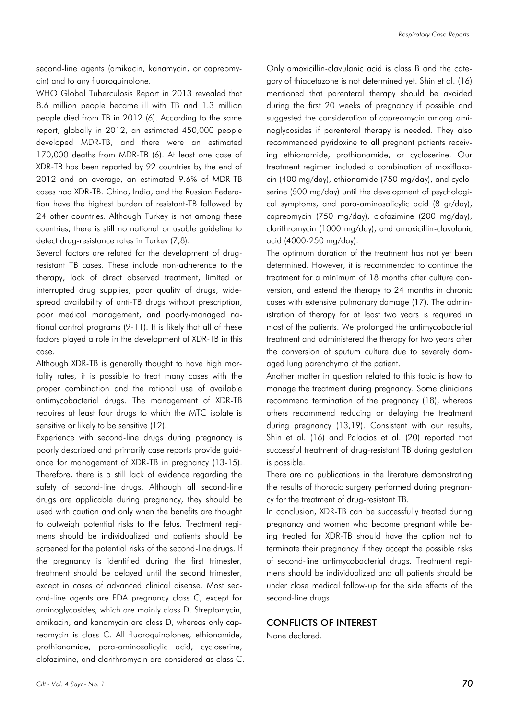second-line agents (amikacin, kanamycin, or capreomycin) and to any fluoroquinolone.

WHO Global Tuberculosis Report in 2013 revealed that 8.6 million people became ill with TB and 1.3 million people died from TB in 2012 (6). According to the same report, globally in 2012, an estimated 450,000 people developed MDR-TB, and there were an estimated 170,000 deaths from MDR-TB (6). At least one case of XDR-TB has been reported by 92 countries by the end of 2012 and on average, an estimated 9.6% of MDR-TB cases had XDR-TB. China, India, and the Russian Federation have the highest burden of resistant-TB followed by 24 other countries. Although Turkey is not among these countries, there is still no national or usable guideline to detect drug-resistance rates in Turkey (7,8).

Several factors are related for the development of drugresistant TB cases. These include non-adherence to the therapy, lack of direct observed treatment, limited or interrupted drug supplies, poor quality of drugs, widespread availability of anti-TB drugs without prescription, poor medical management, and poorly-managed national control programs (9-11). It is likely that all of these factors played a role in the development of XDR-TB in this case.

Although XDR-TB is generally thought to have high mortality rates, it is possible to treat many cases with the proper combination and the rational use of available antimycobacterial drugs. The management of XDR-TB requires at least four drugs to which the MTC isolate is sensitive or likely to be sensitive (12).

Experience with second-line drugs during pregnancy is poorly described and primarily case reports provide guidance for management of XDR-TB in pregnancy (13-15). Therefore, there is a still lack of evidence regarding the safety of second-line drugs. Although all second-line drugs are applicable during pregnancy, they should be used with caution and only when the benefits are thought to outweigh potential risks to the fetus. Treatment regimens should be individualized and patients should be screened for the potential risks of the second-line drugs. If the pregnancy is identified during the first trimester, treatment should be delayed until the second trimester, except in cases of advanced clinical disease. Most second-line agents are FDA pregnancy class C, except for aminoglycosides, which are mainly class D. Streptomycin, amikacin, and kanamycin are class D, whereas only capreomycin is class C. All fluoroquinolones, ethionamide, prothionamide, para-aminosalicylic acid, cycloserine, clofazimine, and clarithromycin are considered as class C. Only amoxicillin-clavulanic acid is class B and the category of thiacetazone is not determined yet. Shin et al. (16) mentioned that parenteral therapy should be avoided during the first 20 weeks of pregnancy if possible and suggested the consideration of capreomycin among aminoglycosides if parenteral therapy is needed. They also recommended pyridoxine to all pregnant patients receiving ethionamide, prothionamide, or cycloserine. Our treatment regimen included a combination of moxifloxacin (400 mg/day), ethionamide (750 mg/day), and cycloserine (500 mg/day) until the development of psychological symptoms, and para-aminosalicylic acid (8 gr/day), capreomycin (750 mg/day), clofazimine (200 mg/day), clarithromycin (1000 mg/day), and amoxicillin-clavulanic acid (4000-250 mg/day).

The optimum duration of the treatment has not yet been determined. However, it is recommended to continue the treatment for a minimum of 18 months after culture conversion, and extend the therapy to 24 months in chronic cases with extensive pulmonary damage (17). The administration of therapy for at least two years is required in most of the patients. We prolonged the antimycobacterial treatment and administered the therapy for two years after the conversion of sputum culture due to severely damaged lung parenchyma of the patient.

Another matter in question related to this topic is how to manage the treatment during pregnancy. Some clinicians recommend termination of the pregnancy (18), whereas others recommend reducing or delaying the treatment during pregnancy (13,19). Consistent with our results, Shin et al. (16) and Palacios et al. (20) reported that successful treatment of drug-resistant TB during gestation is possible.

There are no publications in the literature demonstrating the results of thoracic surgery performed during pregnancy for the treatment of drug-resistant TB.

In conclusion, XDR-TB can be successfully treated during pregnancy and women who become pregnant while being treated for XDR-TB should have the option not to terminate their pregnancy if they accept the possible risks of second-line antimycobacterial drugs. Treatment regimens should be individualized and all patients should be under close medical follow-up for the side effects of the second-line drugs.

#### CONFLICTS OF INTEREST

None declared.